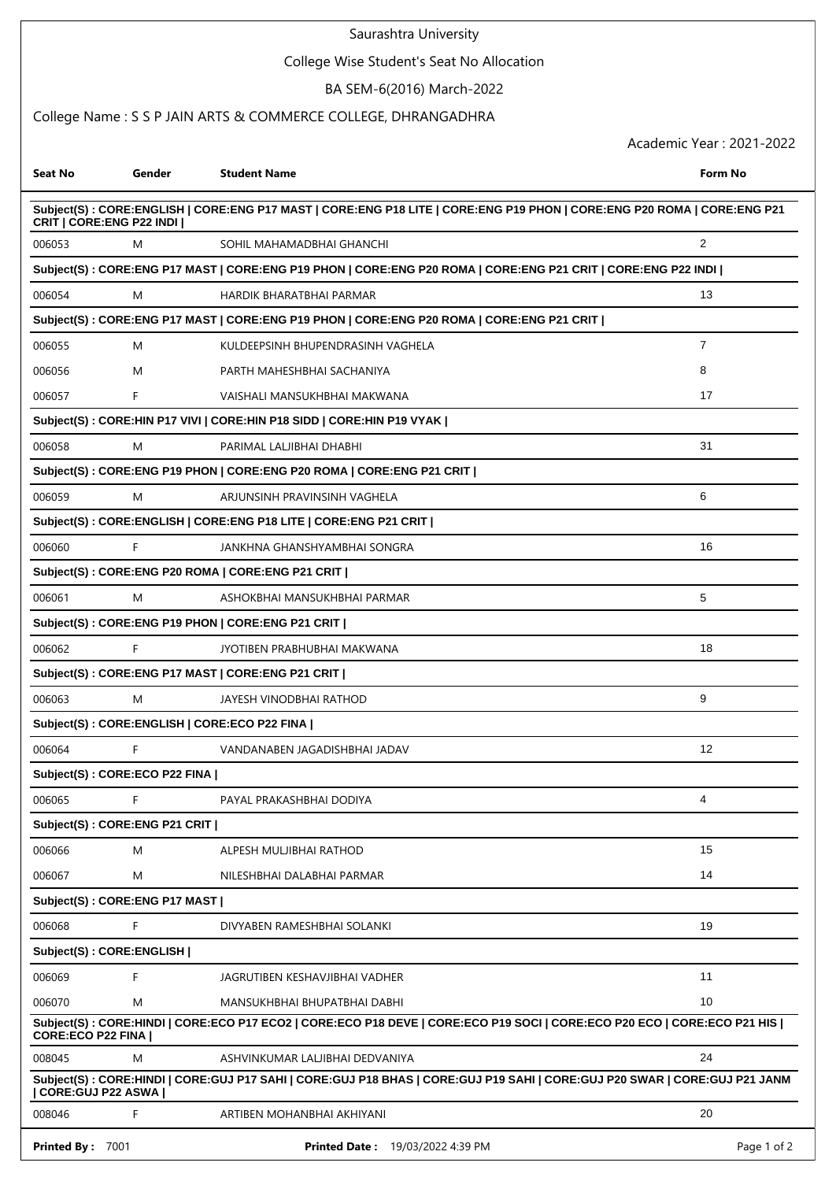## Saurashtra University

# College Wise Student's Seat No Allocation

BA SEM-6(2016) March-2022

## College Name : S S P JAIN ARTS & COMMERCE COLLEGE, DHRANGADHRA

Academic Year : 2021-2022

| Seat No                    | Gender                         | <b>Student Name</b>                                                                                                         | Form No        |
|----------------------------|--------------------------------|-----------------------------------------------------------------------------------------------------------------------------|----------------|
| CRIT   CORE: ENG P22 INDI  |                                | Subject(S): CORE:ENGLISH   CORE:ENG P17 MAST   CORE:ENG P18 LITE   CORE:ENG P19 PHON   CORE:ENG P20 ROMA   CORE:ENG P21     |                |
| 006053                     | M                              | SOHIL MAHAMADBHAI GHANCHI                                                                                                   | $\overline{2}$ |
|                            |                                | Subject(S) : CORE:ENG P17 MAST   CORE:ENG P19 PHON   CORE:ENG P20 ROMA   CORE:ENG P21 CRIT   CORE:ENG P22 INDI              |                |
| 006054                     | M                              | HARDIK BHARATBHAI PARMAR                                                                                                    | 13             |
|                            |                                | Subject(S) : CORE:ENG P17 MAST   CORE:ENG P19 PHON   CORE:ENG P20 ROMA   CORE:ENG P21 CRIT                                  |                |
| 006055                     | M                              | KULDEEPSINH BHUPENDRASINH VAGHELA                                                                                           | $\overline{7}$ |
| 006056                     | M                              | PARTH MAHESHBHAI SACHANIYA                                                                                                  | 8              |
| 006057                     | F.                             | VAISHALI MANSUKHBHAI MAKWANA                                                                                                | 17             |
|                            |                                | Subject(S): CORE:HIN P17 VIVI   CORE:HIN P18 SIDD   CORE:HIN P19 VYAK                                                       |                |
| 006058                     | M                              | PARIMAL LALJIBHAI DHABHI                                                                                                    | 31             |
|                            |                                | Subject(S): CORE:ENG P19 PHON   CORE:ENG P20 ROMA   CORE:ENG P21 CRIT                                                       |                |
| 006059                     | M                              | ARJUNSINH PRAVINSINH VAGHELA                                                                                                | 6              |
|                            |                                | Subject(S) : CORE:ENGLISH   CORE:ENG P18 LITE   CORE:ENG P21 CRIT                                                           |                |
| 006060                     | F                              | JANKHNA GHANSHYAMBHAI SONGRA                                                                                                | 16             |
|                            |                                | Subject(S) : CORE:ENG P20 ROMA   CORE:ENG P21 CRIT                                                                          |                |
| 006061                     | M                              | ASHOKBHAI MANSUKHBHAI PARMAR                                                                                                | 5              |
|                            |                                | Subject(S): CORE:ENG P19 PHON   CORE:ENG P21 CRIT                                                                           |                |
| 006062                     | F                              | JYOTIBEN PRABHUBHAI MAKWANA                                                                                                 | 18             |
|                            |                                | Subject(S): CORE:ENG P17 MAST   CORE:ENG P21 CRIT                                                                           |                |
| 006063                     | M                              | JAYESH VINODBHAI RATHOD                                                                                                     | 9              |
|                            |                                | Subject(S): CORE: ENGLISH   CORE: ECO P22 FINA                                                                              |                |
| 006064                     | F.                             | VANDANABEN JAGADISHBHAI JADAV                                                                                               | 12             |
|                            | Subject(S): CORE:ECO P22 FINA  |                                                                                                                             |                |
| 006065                     | F                              | PAYAL PRAKASHBHAI DODIYA                                                                                                    | 4              |
|                            | Subject(S): CORE:ENG P21 CRIT  |                                                                                                                             |                |
| 006066                     | M                              | ALPESH MULJIBHAI RATHOD                                                                                                     | 15             |
| 006067                     | M                              | NILESHBHAI DALABHAI PARMAR                                                                                                  | 14             |
|                            | Subject(S): CORE: ENG P17 MAST |                                                                                                                             |                |
| 006068                     | F.                             | DIVYABEN RAMESHBHAI SOLANKI                                                                                                 | 19             |
|                            | Subject(S): CORE: ENGLISH      |                                                                                                                             |                |
| 006069                     | F                              | JAGRUTIBEN KESHAVJIBHAI VADHER                                                                                              | 11             |
| 006070                     | M                              | MANSUKHBHAI BHUPATBHAI DABHI                                                                                                | 10             |
| <b>CORE:ECO P22 FINA I</b> |                                | Subject(S): CORE:HINDI   CORE:ECO P17 ECO2   CORE:ECO P18 DEVE   CORE:ECO P19 SOCI   CORE:ECO P20 ECO   CORE:ECO P21 HIS    |                |
| 008045                     | Μ                              | ASHVINKUMAR LALJIBHAI DEDVANIYA                                                                                             | 24             |
| CORE:GUJ P22 ASWA          |                                | Subject(S) : CORE:HINDI   CORE:GUJ P17 SAHI   CORE:GUJ P18 BHAS   CORE:GUJ P19 SAHI   CORE:GUJ P20 SWAR   CORE:GUJ P21 JANM |                |
| 008046                     | F                              | ARTIBEN MOHANBHAI AKHIYANI                                                                                                  | 20             |
| Printed By: 7001           |                                | Printed Date: 19/03/2022 4:39 PM                                                                                            | Page 1 of 2    |